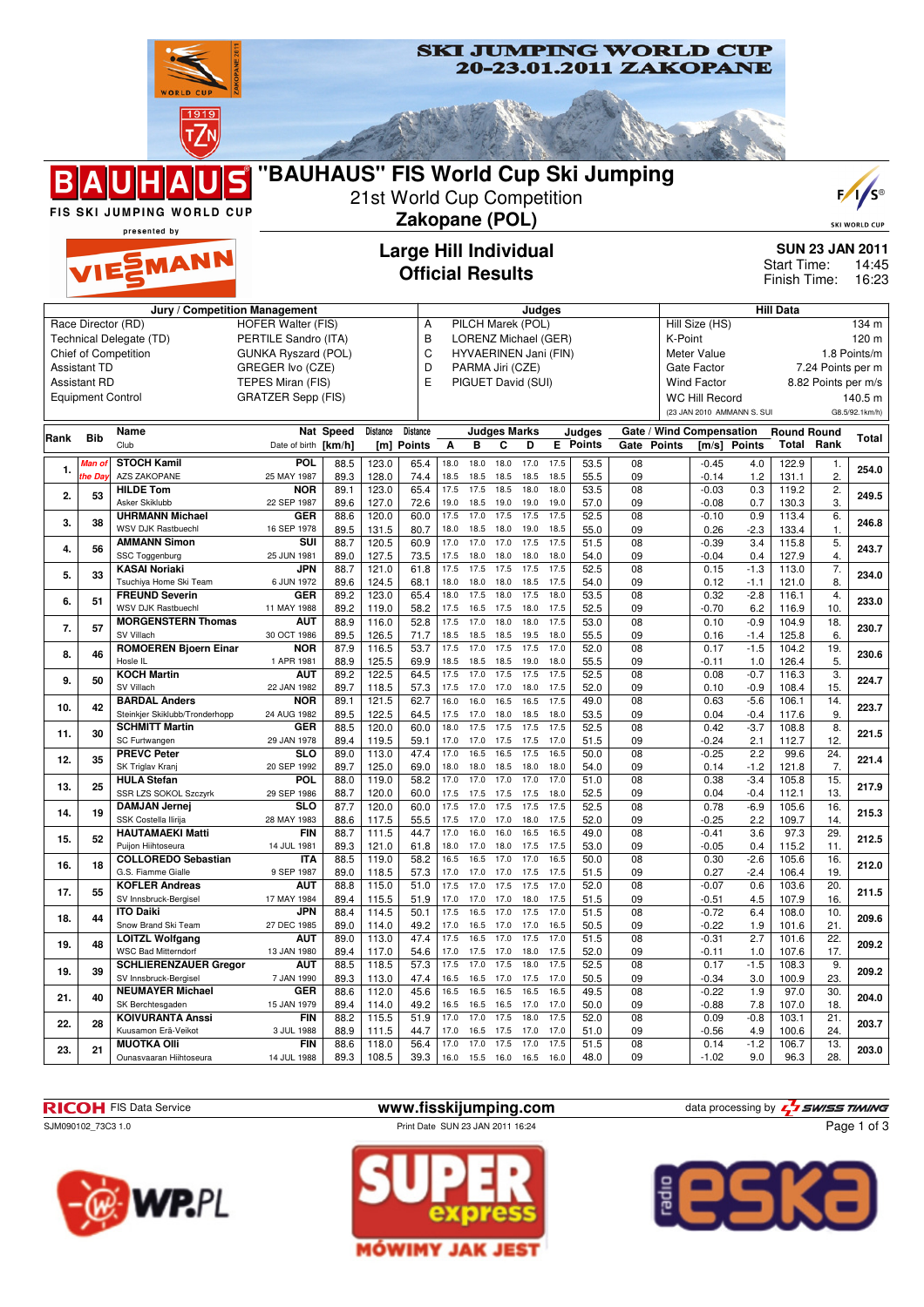

**WP.PL** 









Page 1 of 3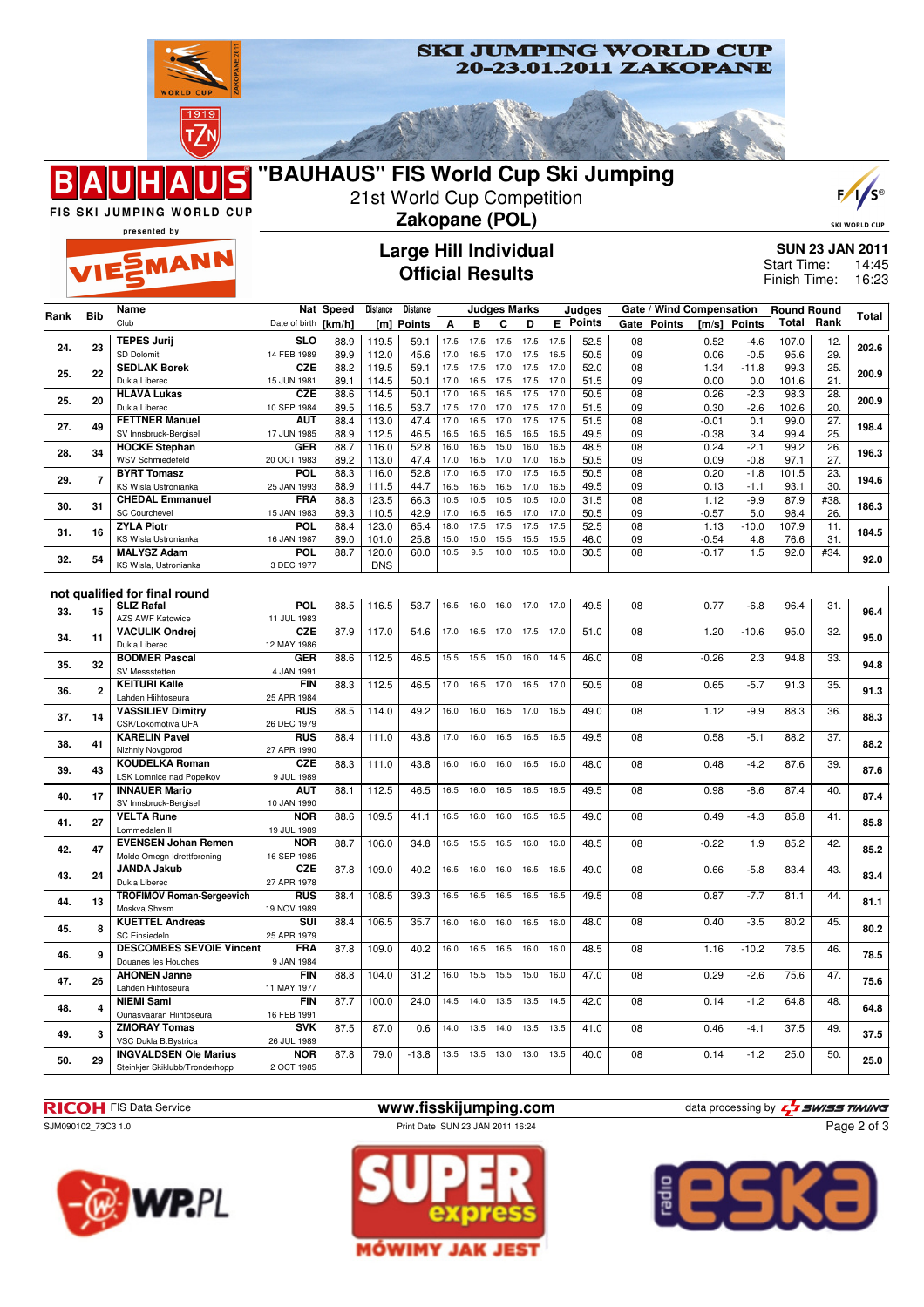





SKI WORLD CUP

presented by

**EMANN** 

Β

## **Large Hill Individual Official Results**

**SUN 23 JAN 2011** 14:45 16:23 Start Time: Finish Time:

|           |                                        | Name                                             |                           | Nat Speed    | Distance       | Distance     |              |              | <b>Judges Marks</b> |              |              | Judges          |          | Gate / Wind Compensation |                 |                | <b>Round Round</b> |            |       |
|-----------|----------------------------------------|--------------------------------------------------|---------------------------|--------------|----------------|--------------|--------------|--------------|---------------------|--------------|--------------|-----------------|----------|--------------------------|-----------------|----------------|--------------------|------------|-------|
| Rank      | <b>Bib</b>                             | Club                                             | Date of birth             | [km/h]       |                | [m] Points   | Α            | в            | C                   | D            |              | <b>E</b> Points | Gate     | <b>Points</b>            | [m/s]           | <b>Points</b>  | Total              | Rank       | Total |
| 24.       | 23                                     | <b>TEPES Jurij</b>                               | $\overline{\text{SLO}}$   | 88.9         | 119.5          | 59.1         | 17.5         | 17.5         | 17.5                | 17.5         | 17.5         | 52.5            | 08       |                          | 0.52            | $-4.6$         | 107.0              | 12.        | 202.6 |
|           |                                        | SD Dolomiti                                      | 14 FEB 1989               | 89.9         | 112.0          | 45.6         | 17.0         | 16.5         | 17.0                | 17.5         | 16.5         | 50.5            | 09       |                          | 0.06            | $-0.5$         | 95.6               | 29.        |       |
| 25.       | 22                                     | <b>SEDLAK Borek</b>                              | <b>CZE</b>                | 88.2         | 119.5          | 59.1         | 17.5         | 17.5         | 17.0                | 17.5         | 17.0         | 52.0            | 08       |                          | 1.34            | $-11.8$        | 99.3               | 25.        | 200.9 |
|           |                                        | Dukla Liberec                                    | 15 JUN 1981               | 89.1         | 114.5          | 50.1         | 17.0         | 16.5         | 17.5                | 17.5         | 17.0         | 51.5            | 09       |                          | 0.00            | 0.0            | 101.6              | 21.        |       |
| 25.       | 20                                     | <b>HLAVA Lukas</b><br>Dukla Liberec              | <b>CZE</b><br>10 SEP 1984 | 88.6<br>89.5 | 114.5<br>116.5 | 50.1<br>53.7 | 17.0<br>17.5 | 16.5<br>17.0 | 16.5<br>17.0        | 17.5<br>17.5 | 17.0<br>17.0 | 50.5<br>51.5    | 08<br>09 |                          | 0.26<br>0.30    | $-2.3$         | 98.3<br>102.6      | 28.<br>20. | 200.9 |
|           |                                        | <b>FETTNER Manuel</b>                            | <b>AUT</b>                | 88.4         | 113.0          | 47.4         | 17.0         | 16.5         | 17.0                | 17.5         | 17.5         | 51.5            | 08       |                          | $-0.01$         | $-2.6$<br>0.1  | 99.0               | 27.        |       |
| 27.       | 49                                     | SV Innsbruck-Bergisel                            | 17 JUN 1985               | 88.9         | 112.5          | 46.5         | 16.5         | 16.5         | 16.5                | 16.5         | 16.5         | 49.5            | 09       |                          | $-0.38$         | 3.4            | 99.4               | 25.        | 198.4 |
|           |                                        | <b>HOCKE Stephan</b>                             | <b>GER</b>                | 88.7         | 116.0          | 52.8         | 16.0         | 16.5         | 15.0                | 16.0         | 16.5         | 48.5            | 08       |                          | 0.24            | $-2.1$         | 99.2               | 26.        |       |
| 28.       | 34                                     | <b>WSV Schmiedefeld</b>                          | 20 OCT 1983               | 89.2         | 113.0          | 47.4         | 17.0         | 16.5         | 17.0                | 17.0         | 16.5         | 50.5            | 09       |                          | 0.09            | $-0.8$         | 97.1               | 27.        | 196.3 |
| 29.       | $\overline{7}$                         | <b>BYRT Tomasz</b>                               | POL                       | 88.3         | 116.0          | 52.8         | 17.0         | 16.5         | 17.0                | 17.5         | 16.5         | 50.5            | 08       |                          | 0.20            | $-1.8$         | 101.5              | 23.        | 194.6 |
|           |                                        | KS Wisla Ustronianka                             | 25 JAN 1993               | 88.9         | 111.5          | 44.7         | 16.5         | 16.5         | 16.5                | 17.0         | 16.5         | 49.5            | 09       |                          | 0.13            | $-1.1$         | 93.1               | 30.        |       |
| 30.       | 31                                     | <b>CHEDAL Emmanuel</b>                           | <b>FRA</b>                | 88.8         | 123.5          | 66.3         | 10.5         | 10.5         | 10.5                | 10.5         | 10.0         | 31.5            | 08       |                          | 1.12            | $-9.9$         | 87.9               | #38.       | 186.3 |
|           |                                        | <b>SC Courchevel</b><br><b>ZYLA Piotr</b>        | 15 JAN 1983<br>POL        | 89.3<br>88.4 | 110.5          | 42.9         | 17.0         | 16.5         | 16.5                | 17.0<br>17.5 | 17.0         | 50.5<br>52.5    | 09<br>08 |                          | $-0.57$<br>1.13 | 5.0            | 98.4<br>107.9      | 26.        |       |
| 31.       | 16                                     | KS Wisla Ustronianka                             | 16 JAN 1987               | 89.0         | 123.0<br>101.0 | 65.4<br>25.8 | 18.0<br>15.0 | 17.5<br>15.0 | 17.5<br>15.5        | 15.5         | 17.5<br>15.5 | 46.0            | 09       |                          | $-0.54$         | $-10.0$<br>4.8 | 76.6               | 11.<br>31. | 184.5 |
|           |                                        | <b>MALYSZ Adam</b>                               | <b>POL</b>                | 88.7         | 120.0          | 60.0         | 10.5         | 9.5          | 10.0                | 10.5         | 10.0         | 30.5            | 08       |                          | $-0.17$         | 1.5            | 92.0               | #34.       |       |
| 32.       | 54                                     | KS Wisla, Ustronianka                            | 3 DEC 1977                |              | <b>DNS</b>     |              |              |              |                     |              |              |                 |          |                          |                 |                |                    |            | 92.0  |
|           |                                        |                                                  |                           |              |                |              |              |              |                     |              |              |                 |          |                          |                 |                |                    |            |       |
|           |                                        | not qualified for final round                    |                           |              |                |              |              |              |                     |              |              |                 |          |                          |                 |                |                    |            |       |
| 33.       | 15                                     | <b>SLIZ Rafal</b>                                | <b>POL</b>                | 88.5         | 116.5          | 53.7         | 16.5         | 16.0         | 16.0                | 17.0         | 17.0         | 49.5            | 08       |                          | 0.77            | $-6.8$         | 96.4               | 31.        | 96.4  |
|           | <b>AZS AWF Katowice</b>                | 11 JUL 1983                                      |                           |              |                |              |              |              |                     |              |              |                 |          |                          |                 |                |                    |            |       |
| 34.<br>11 | <b>VACULIK Ondrej</b><br>Dukla Liberec | CZE                                              | 87.9                      | 117.0        | 54.6           | 17.0         | 16.5         | 17.0         | 17.5                | 17.0         | 51.0         | 08              |          | 1.20                     | $-10.6$         | 95.0           | 32.                | 95.0       |       |
| 35.<br>32 | <b>BODMER Pascal</b>                   | 12 MAY 1986<br><b>GER</b>                        | 88.6                      | 112.5        | 46.5           | 15.5         | 15.5         | 15.0         | 16.0                | 14.5         | 46.0         | 08              |          | $-0.26$                  | 2.3             | 94.8           | $\overline{33}$ .  |            |       |
|           |                                        | SV Messstetten                                   | 4 JAN 1991                |              |                |              |              |              |                     |              |              |                 |          |                          |                 |                |                    |            | 94.8  |
|           |                                        | <b>KEITURI Kalle</b>                             | <b>FIN</b>                | 88.3         | 112.5          | 46.5         | 17.0         | 16.5         | 17.0                | 16.5         | 17.0         | 50.5            | 08       |                          | 0.65            | $-5.7$         | 91.3               | 35.        |       |
| 36.       | $\mathbf{2}$                           | Lahden Hiihtoseura                               | 25 APR 1984               |              |                |              |              |              |                     |              |              |                 |          |                          |                 |                |                    |            | 91.3  |
| 37.       | 14                                     | <b>VASSILIEV Dimitry</b>                         | <b>RUS</b>                | 88.5         | 114.0          | 49.2         | 16.0         | 16.0         | 16.5                | 17.0         | 16.5         | 49.0            | 08       |                          | 1.12            | $-9.9$         | 88.3               | 36.        | 88.3  |
|           |                                        | CSK/Lokomotiva UFA                               | 26 DEC 1979               |              |                |              |              |              |                     |              |              |                 |          |                          |                 |                |                    |            |       |
| 38.       | 41                                     | <b>KARELIN Pavel</b>                             | <b>RUS</b>                | 88.4         | 111.0          | 43.8         | 17.0         | 16.0         | 16.5                | 16.5         | 16.5         | 49.5            | 08       |                          | 0.58            | $-5.1$         | 88.2               | 37.        | 88.2  |
|           |                                        | Nizhniy Novgorod<br><b>KOUDELKA Roman</b>        | 27 APR 1990<br><b>CZE</b> | 88.3         | 111.0          | 43.8         | 16.0         | 16.0         | 16.0                | 16.5         | 16.0         | 48.0            | 08       |                          | 0.48            | $-4.2$         | 87.6               | 39.        |       |
| 39.       | 43                                     | LSK Lomnice nad Popelkov                         | 9 JUL 1989                |              |                |              |              |              |                     |              |              |                 |          |                          |                 |                |                    |            | 87.6  |
|           |                                        | <b>INNAUER Mario</b>                             | AUT                       | 88.1         | 112.5          | 46.5         | 16.5         | 16.0         | 16.5                | 16.5         | 16.5         | 49.5            | 08       |                          | 0.98            | $-8.6$         | 87.4               | 40.        |       |
| 40.       | 17                                     | SV Innsbruck-Bergisel                            | 10 JAN 1990               |              |                |              |              |              |                     |              |              |                 |          |                          |                 |                |                    |            | 87.4  |
| 41.       | 27                                     | <b>VELTA Rune</b>                                | <b>NOR</b>                | 88.6         | 109.5          | 41.1         | 16.5         | 16.0         | 16.0                | 16.5         | 16.5         | 49.0            | 08       |                          | 0.49            | $-4.3$         | 85.8               | 41.        | 85.8  |
|           |                                        | Lommedalen II                                    | 19 JUL 1989               |              |                |              |              |              |                     |              |              |                 |          |                          |                 |                |                    |            |       |
| 42.       | 47                                     | <b>EVENSEN Johan Remen</b>                       | <b>NOR</b>                | 88.7         | 106.0          | 34.8         | 16.5         | 15.5         | 16.5                | 16.0         | 16.0         | 48.5            | 08       |                          | $-0.22$         | 1.9            | 85.2               | 42.        | 85.2  |
|           |                                        | Molde Omegn Idrettforening<br><b>JANDA Jakub</b> | 16 SEP 1985<br><b>CZE</b> |              |                |              |              |              |                     |              |              |                 |          |                          |                 |                |                    |            |       |
| 43.       | 24                                     | Dukla Liberec                                    | 27 APR 1978               | 87.8         | 109.0          | 40.2         | 16.5         | 16.0         | 16.0                | 16.5         | 16.5         | 49.0            | 08       |                          | 0.66            | $-5.8$         | 83.4               | 43.        | 83.4  |
|           |                                        | <b>TROFIMOV Roman-Sergeevich</b>                 | <b>RUS</b>                | 88.4         | 108.5          | 39.3         | 16.5         | 16.5         | 16.5                | 16.5         | 16.5         | 49.5            | 08       |                          | 0.87            | $-7.7$         | $\overline{8}1.1$  | 44.        |       |
| 44.<br>13 | Moskva Shvsm                           | 19 NOV 1989                                      |                           |              |                |              |              |              |                     |              |              |                 |          |                          |                 |                |                    | 81.1       |       |
| 45.       | 8                                      | <b>KUETTEL Andreas</b>                           | SUI                       | 88.4         | 106.5          | 35.7         | 16.0         | 16.0         | 16.0                | 16.5         | 16.0         | 48.0            | 08       |                          | 0.40            | $-3.5$         | 80.2               | 45.        | 80.2  |
|           |                                        | <b>SC Einsiedeln</b>                             | 25 APR 1979               |              |                |              |              |              |                     |              |              |                 |          |                          |                 |                |                    |            |       |
| 46.       | 9                                      | <b>DESCOMBES SEVOIE Vincent</b>                  | <b>FRA</b>                | 87.8         | 109.0          | 40.2         | 16.0         | 16.5         | 16.5                | 16.0         | 16.0         | 48.5            | 08       |                          | 1.16            | $-10.2$        | 78.5               | 46.        | 78.5  |
|           |                                        | Douanes les Houches                              | 9 JAN 1984                |              |                |              |              |              |                     |              |              |                 |          |                          |                 |                |                    |            |       |
| 47.       | 26                                     | <b>AHONEN Janne</b><br>Lahden Hiihtoseura        | <b>FIN</b><br>11 MAY 1977 | 88.8         | 104.0          | 31.2         | 16.0         | 15.5         | 15.5                | 15.0         | 16.0         | 47.0            | 08       |                          | 0.29            | $-2.6$         | 75.6               | 47.        | 75.6  |
|           | <b>NIEMI Sami</b>                      | FIN                                              | 87.7                      | 100.0        | 24.0           | 14.5         | 14.0         | 13.5         | 13.5                | 14.5         | 42.0         | 08              |          | 0.14                     | $-1.2$          | 64.8           | 48.                |            |       |
|           | 48.<br>4                               | Ounasvaaran Hiihtoseura                          | 16 FEB 1991               |              |                |              |              |              |                     |              |              |                 |          |                          |                 |                |                    |            | 64.8  |
| 49.       | 3                                      | <b>ZMORAY Tomas</b>                              | <b>SVK</b>                | 87.5         | 87.0           | 0.6          | 14.0         | 13.5         | 14.0                | 13.5         | 13.5         | 41.0            | 08       |                          | 0.46            | $-4.1$         | 37.5               | 49.        | 37.5  |
|           |                                        | VSC Dukla B.Bystrica                             | 26 JUL 1989               |              |                |              |              |              |                     |              |              |                 |          |                          |                 |                |                    |            |       |
| 50.       | 29                                     | <b>INGVALDSEN Ole Marius</b>                     | <b>NOR</b>                | 87.8         | 79.0           | $-13.8$      | 13.5         | 13.5         | 13.0                | 13.0         | 13.5         | 40.0            | 08       |                          | 0.14            | $-1.2$         | 25.0               | 50.        | 25.0  |
|           |                                        | Steinkjer Skiklubb/Tronderhopp                   | 2 OCT 1985                |              |                |              |              |              |                     |              |              |                 |          |                          |                 |                |                    |            |       |

**RICOH** FIS Data Service **www.fisskijumping.com** data processing by  $\frac{7}{2}$  **swiss TIMING** 











Page 2 of 3